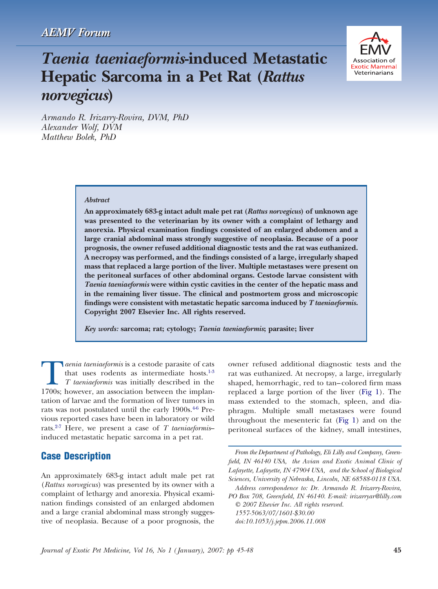# *Taenia taeniaeformis***-induced Metastatic Hepatic Sarcoma in a Pet Rat (***Rattus norvegicus***)**



*Armando R. Irizarry-Rovira, DVM, PhD Alexander Wolf, DVM Matthew Bolek, PhD*

#### *Abstract*

**An approximately 683-g intact adult male pet rat (***Rattus norvegicus***) of unknown age was presented to the veterinarian by its owner with a complaint of lethargy and anorexia. Physical examination findings consisted of an enlarged abdomen and a large cranial abdominal mass strongly suggestive of neoplasia. Because of a poor prognosis, the owner refused additional diagnostic tests and the rat was euthanized. A necropsy was performed, and the findings consisted of a large, irregularly shaped mass that replaced a large portion of the liver. Multiple metastases were present on the peritoneal surfaces of other abdominal organs. Cestode larvae consistent with** *Taenia taeniaeformis* **were within cystic cavities in the center of the hepatic mass and in the remaining liver tissue. The clinical and postmortem gross and microscopic findings were consistent with metastatic hepatic sarcoma induced by** *T taeniaeformis***. Copyright 2007 Elsevier Inc. All rights reserved.**

*Key words:* **sarcoma; rat; cytology;** *Taenia taeniaeformis***; parasite; liver**

**T** *aenia taeniaeformis* is a cestode parasite of cats that uses rodents as intermediate hosts.<sup>1-3</sup> *T taeniaeformis* was initially described in the 1700s; however, an association between the implanthat uses rodents as intermediate hosts[.1-3](#page-3-0) *T taeniaeformis* was initially described in the tation of larvae and the formation of liver tumors in rats was not postulated until the early 1900s.<sup>46</sup> Previous reported cases have been in laboratory or wild rats[.2-7](#page-3-0) Here, we present a case of *T taeniaeformis*– induced metastatic hepatic sarcoma in a pet rat.

# **Case Description**

An approximately 683-g intact adult male pet rat (*Rattus norvegicus*) was presented by its owner with a complaint of lethargy and anorexia. Physical examination findings consisted of an enlarged abdomen and a large cranial abdominal mass strongly suggestive of neoplasia. Because of a poor prognosis, the

owner refused additional diagnostic tests and the rat was euthanized. At necropsy, a large, irregularly shaped, hemorrhagic, red to tan–colored firm mass replaced a large portion of the liver [\(Fig](#page-1-0) 1). The mass extended to the stomach, spleen, and diaphragm. Multiple small metastases were found throughout the mesenteric fat [\(Fig](#page-1-0) 1) and on the peritoneal surfaces of the kidney, small intestines,

*From the Department of Pathology, Eli Lilly and Company, Greenfield, IN 46140 USA, the Avian and Exotic Animal Clinic of Lafayette, Lafayette, IN 47904 USA, and the School of Biological Sciences, University of Nebraska, Lincoln, NE 68588-0118 USA.*

*Address correspondence to: Dr. Armando R. Irizarry-Rovira, PO Box 708, Greenfield, IN 46140. E-mail: irizarryar@lilly.com © 2007 Elsevier Inc. All rights reserved. 1557-5063/07/1601-\$30.00 doi:10.1053/j.jepm.2006.11.008*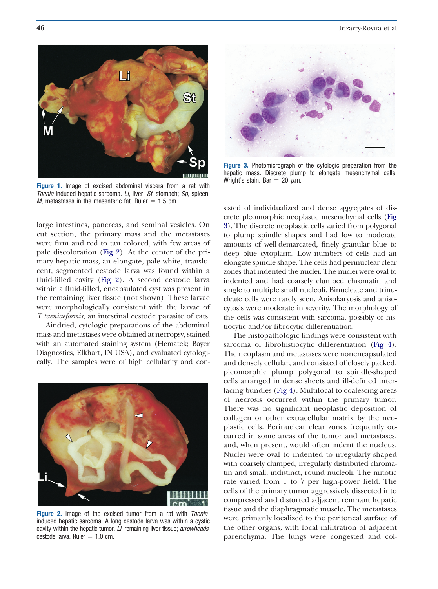<span id="page-1-0"></span>

**Figure 1.** Image of excised abdominal viscera from a rat with *Taenia*-induced hepatic sarcoma. *Li*, liver; *St*, stomach; *Sp*, spleen; *M*, metastases in the mesenteric fat. Ruler  $= 1.5$  cm.

large intestines, pancreas, and seminal vesicles. On cut section, the primary mass and the metastases were firm and red to tan colored, with few areas of pale discoloration (Fig 2). At the center of the primary hepatic mass, an elongate, pale white, translucent, segmented cestode larva was found within a fluid-filled cavity (Fig 2). A second cestode larva within a fluid-filled, encapsulated cyst was present in the remaining liver tissue (not shown). These larvae were morphologically consistent with the larvae of *T taeniaeformis*, an intestinal cestode parasite of cats.

Air-dried, cytologic preparations of the abdominal mass and metastases were obtained at necropsy, stained with an automated staining system (Hematek; Bayer Diagnostics, Elkhart, IN USA), and evaluated cytologically. The samples were of high cellularity and con-



**Figure 2.** Image of the excised tumor from a rat with *Taenia*induced hepatic sarcoma. A long cestode larva was within a cystic cavity within the hepatic tumor. *Li*, remaining liver tissue; *arrowheads*, cestode larva. Ruler  $= 1.0$  cm.



**Figure 3.** Photomicrograph of the cytologic preparation from the hepatic mass. Discrete plump to elongate mesenchymal cells. Wright's stain. Bar = 20  $\mu$ m.

sisted of individualized and dense aggregates of discrete pleomorphic neoplastic mesenchymal cells (Fig 3). The discrete neoplastic cells varied from polygonal to plump spindle shapes and had low to moderate amounts of well-demarcated, finely granular blue to deep blue cytoplasm. Low numbers of cells had an elongate spindle shape. The cells had perinuclear clear zones that indented the nuclei. The nuclei were oval to indented and had coarsely clumped chromatin and single to multiple small nucleoli. Binucleate and trinucleate cells were rarely seen. Anisokaryosis and anisocytosis were moderate in severity. The morphology of the cells was consistent with sarcoma, possibly of histiocytic and/or fibrocytic differentiation.

The histopathologic findings were consistent with sarcoma of fibrohistiocytic differentiation [\(Fig](#page-2-0) 4). The neoplasm and metastases were nonencapsulated and densely cellular, and consisted of closely packed, pleomorphic plump polygonal to spindle-shaped cells arranged in dense sheets and ill-defined interlacing bundles [\(Fig](#page-2-0) 4). Multifocal to coalescing areas of necrosis occurred within the primary tumor. There was no significant neoplastic deposition of collagen or other extracellular matrix by the neoplastic cells. Perinuclear clear zones frequently occurred in some areas of the tumor and metastases, and, when present, would often indent the nucleus. Nuclei were oval to indented to irregularly shaped with coarsely clumped, irregularly distributed chromatin and small, indistinct, round nucleoli. The mitotic rate varied from 1 to 7 per high-power field. The cells of the primary tumor aggressively dissected into compressed and distorted adjacent remnant hepatic tissue and the diaphragmatic muscle. The metastases were primarily localized to the peritoneal surface of the other organs, with focal infiltration of adjacent parenchyma. The lungs were congested and col-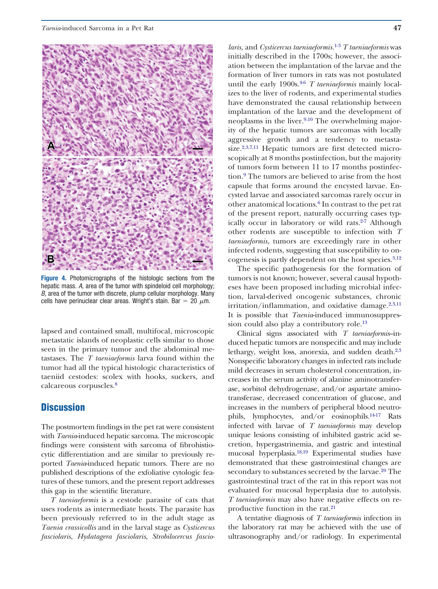<span id="page-2-0"></span>

**Figure 4.** Photomicrographs of the histologic sections from the hepatic mass. *A*, area of the tumor with spindeloid cell morphology; *B*, area of the tumor with discrete, plump cellular morphology. Many cells have perinuclear clear areas. Wright's stain. Bar = 20  $\mu$ m.

lapsed and contained small, multifocal, microscopic metastatic islands of neoplastic cells similar to those seen in the primary tumor and the abdominal metastases. The *T taeniaeformis* larva found within the tumor had all the typical histologic characteristics of taeniid cestodes: scolex with hooks, suckers, and calcareous corpuscles[.8](#page-3-0)

# **Discussion**

The postmortem findings in the pet rat were consistent with *Taenia*-induced hepatic sarcoma. The microscopic findings were consistent with sarcoma of fibrohistiocytic differentiation and are similar to previously reported *Taenia*-induced hepatic tumors. There are no published descriptions of the exfoliative cytologic features of these tumors, and the present report addresses this gap in the scientific literature.

*T taeniaeformis* is a cestode parasite of cats that uses rodents as intermediate hosts. The parasite has been previously referred to in the adult stage as *Taenia crassicollis* and in the larval stage as *Cysticercus fasciolaris*, *Hydatagera fasciolaris*, *Strobilocercus fascio-*

*laris,* and *Cysticercus taeniaeformis.*[1-3](#page-3-0) *T taeniaeformis* was initially described in the 1700s; however, the association between the implantation of the larvae and the formation of liver tumors in rats was not postulated until the early 1900s.<sup>46</sup> *T taeniaeformis* mainly localizes to the liver of rodents, and experimental studies have demonstrated the causal relationship between implantation of the larvae and the development of neoplasms in the liver.<sup>9,10</sup> The overwhelming majority of the hepatic tumors are sarcomas with locally aggressive growth and a tendency to metastasize.<sup>2,3,7,11</sup> Hepatic tumors are first detected microscopically at 8 months postinfection, but the majority of tumors form between 11 to 17 months postinfection[.9](#page-3-0) The tumors are believed to arise from the host capsule that forms around the encysted larvae. Encysted larvae and associated sarcomas rarely occur in other anatomical locations[.6](#page-3-0) In contrast to the pet rat of the present report, naturally occurring cases typically occur in laboratory or wild rats. $2-7$  Although other rodents are susceptible to infection with *T taeniaeformis*, tumors are exceedingly rare in other infected rodents, suggesting that susceptibility to oncogenesis is partly dependent on the host species.<sup>3,12</sup>

The specific pathogenesis for the formation of tumors is not known; however, several causal hypotheses have been proposed including microbial infection, larval-derived oncogenic substances, chronic irritation/inflammation, and oxidative damage. $2,3,11$ It is possible that *Taenia*-induced immunosuppression could also play a contributory role.<sup>13</sup>

Clinical signs associated with *T taeniaeformis*–induced hepatic tumors are nonspecific and may include lethargy, weight loss, anorexia, and sudden death[.2,3](#page-3-0) Nonspecific laboratory changes in infected rats include mild decreases in serum cholesterol concentration, increases in the serum activity of alanine aminotransferase, sorbitol dehydrogenase, and/or aspartate aminotransferase, decreased concentration of glucose, and increases in the numbers of peripheral blood neutrophils, lymphocytes, and/or eosinophils[.14-17](#page-3-0) Rats infected with larvae of *T taeniaeformis* may develop unique lesions consisting of inhibited gastric acid secretion, hypergastrinemia, and gastric and intestinal mucosal hyperplasia[.18,19](#page-3-0) Experimental studies have demonstrated that these gastrointestinal changes are secondary to substances secreted by the larvae.<sup>20</sup> The gastrointestinal tract of the rat in this report was not evaluated for mucosal hyperplasia due to autolysis. *T taeniaeformis* may also have negative effects on reproductive function in the rat[.21](#page-3-0)

A tentative diagnosis of *T taeniaeformis* infection in the laboratory rat may be achieved with the use of ultrasonography and/or radiology. In experimental